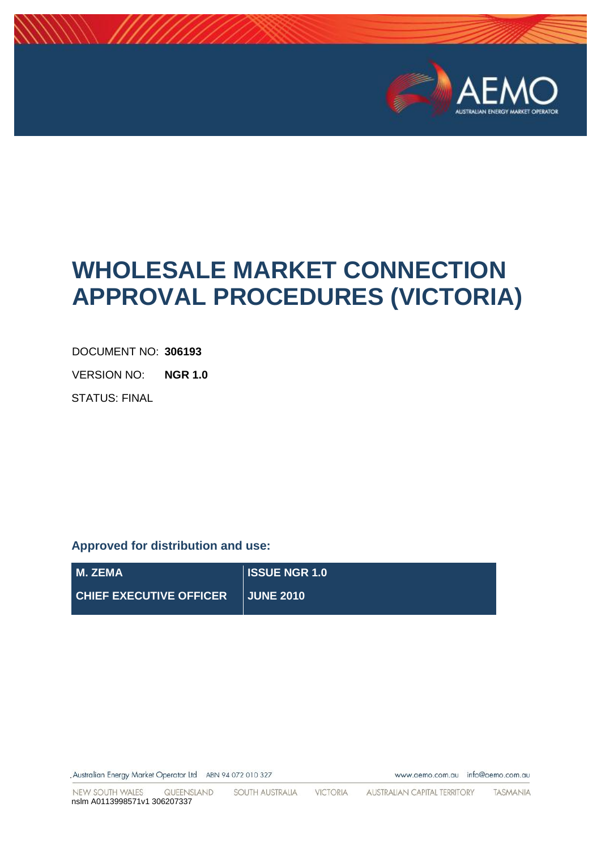

# **WHOLESALE MARKET CONNECTION APPROVAL PROCEDURES (VICTORIA)**

DOCUMENT NO: **306193**

VERSION NO: **NGR 1.0**

STATUS: FINAL

## **Approved for distribution and use:**

| M. ZEMA                        | <b>ISSUE NGR 1.0</b> |
|--------------------------------|----------------------|
| <b>CHIEF EXECUTIVE OFFICER</b> | <b>NUNE 2010</b> !   |

Australian Energy Market Operator Ltd ABN 94 072 010 327

www.aemo.com.au info@aemo.com.au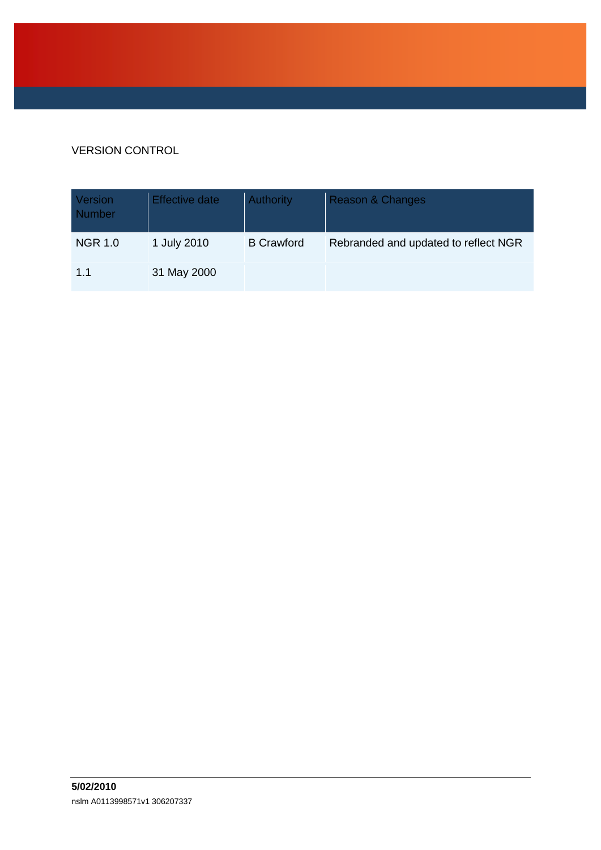## VERSION CONTROL

| Version<br><b>Number</b> | Effective date | <b>Authority</b>  | <b>Reason &amp; Changes</b>          |
|--------------------------|----------------|-------------------|--------------------------------------|
| <b>NGR 1.0</b>           | 1 July 2010    | <b>B</b> Crawford | Rebranded and updated to reflect NGR |
| 1.1                      | 31 May 2000    |                   |                                      |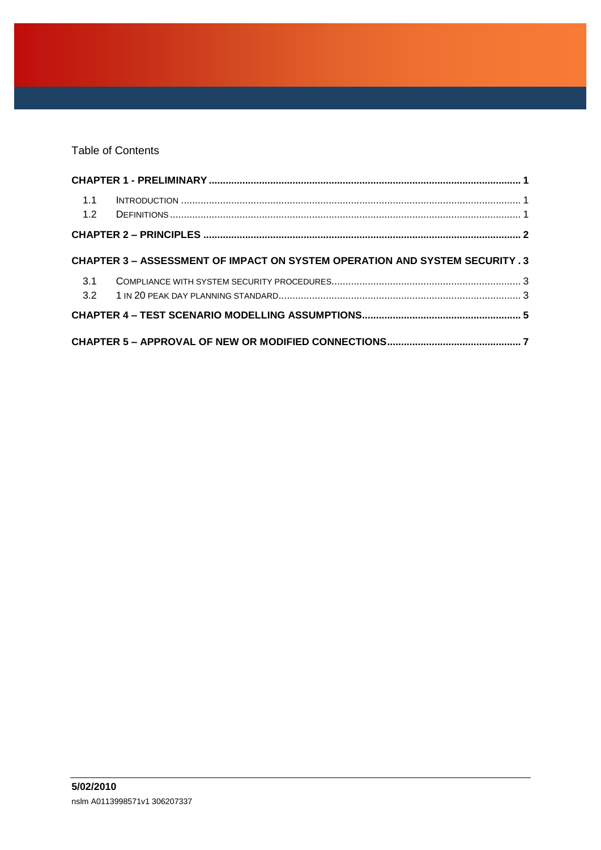Table of Contents

| 1.1 |                                                                              |  |
|-----|------------------------------------------------------------------------------|--|
|     |                                                                              |  |
|     | CHAPTER 3 – ASSESSMENT OF IMPACT ON SYSTEM OPERATION AND SYSTEM SECURITY . 3 |  |
| 3.1 |                                                                              |  |
|     |                                                                              |  |
|     |                                                                              |  |
|     |                                                                              |  |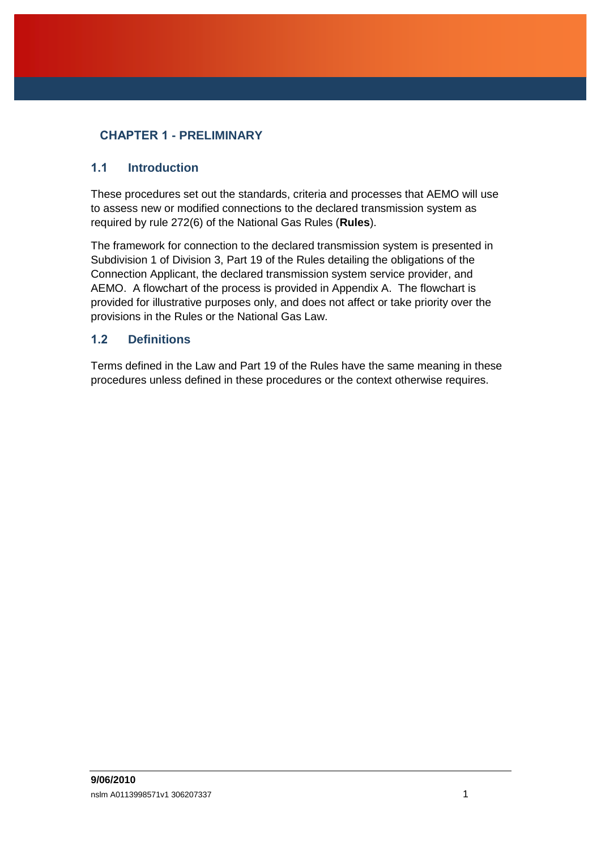## <span id="page-3-0"></span>**CHAPTER 1 - PRELIMINARY**

#### <span id="page-3-1"></span>**1.1 Introduction**

These procedures set out the standards, criteria and processes that AEMO will use to assess new or modified connections to the declared transmission system as required by rule 272(6) of the National Gas Rules (**Rules**).

The framework for connection to the declared transmission system is presented in Subdivision 1 of Division 3, Part 19 of the Rules detailing the obligations of the Connection Applicant, the declared transmission system service provider, and AEMO. A flowchart of the process is provided in Appendix A. The flowchart is provided for illustrative purposes only, and does not affect or take priority over the provisions in the Rules or the National Gas Law.

#### <span id="page-3-2"></span>**1.2 Definitions**

Terms defined in the Law and Part 19 of the Rules have the same meaning in these procedures unless defined in these procedures or the context otherwise requires.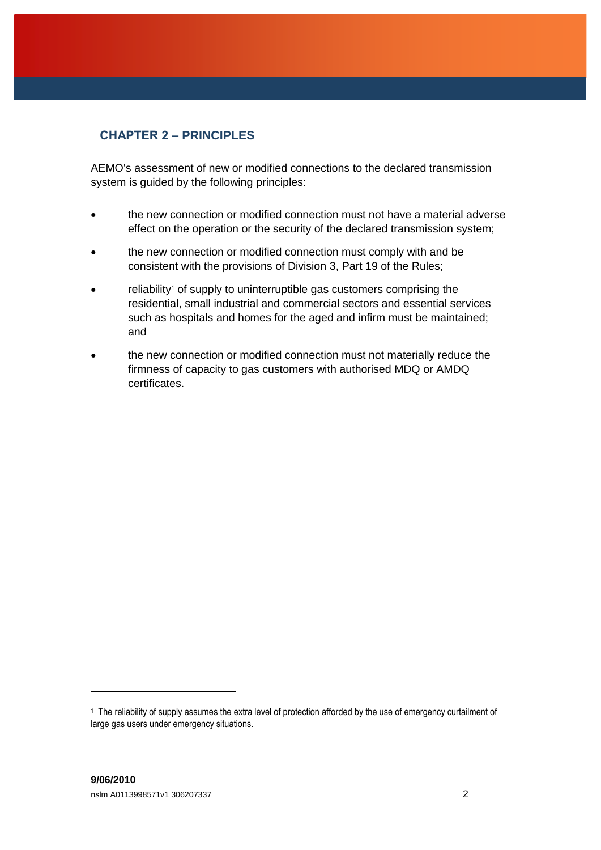## <span id="page-4-0"></span>**CHAPTER 2 – PRINCIPLES**

AEMO's assessment of new or modified connections to the declared transmission system is guided by the following principles:

- the new connection or modified connection must not have a material adverse effect on the operation or the security of the declared transmission system;
- the new connection or modified connection must comply with and be consistent with the provisions of Division 3, Part 19 of the Rules;
- reliability<sup>1</sup> of supply to uninterruptible gas customers comprising the residential, small industrial and commercial sectors and essential services such as hospitals and homes for the aged and infirm must be maintained; and
- the new connection or modified connection must not materially reduce the firmness of capacity to gas customers with authorised MDQ or AMDQ certificates.

<sup>1</sup> The reliability of supply assumes the extra level of protection afforded by the use of emergency curtailment of large gas users under emergency situations.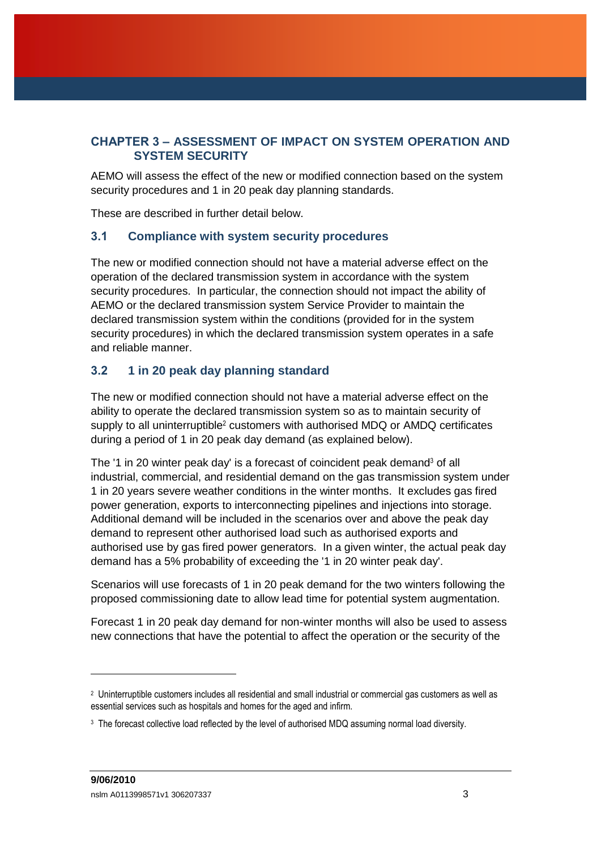### <span id="page-5-0"></span>**CHAPTER 3 – ASSESSMENT OF IMPACT ON SYSTEM OPERATION AND SYSTEM SECURITY**

AEMO will assess the effect of the new or modified connection based on the system security procedures and 1 in 20 peak day planning standards.

These are described in further detail below.

#### <span id="page-5-1"></span>**3.1 Compliance with system security procedures**

The new or modified connection should not have a material adverse effect on the operation of the declared transmission system in accordance with the system security procedures. In particular, the connection should not impact the ability of AEMO or the declared transmission system Service Provider to maintain the declared transmission system within the conditions (provided for in the system security procedures) in which the declared transmission system operates in a safe and reliable manner.

#### <span id="page-5-2"></span>**3.2 1 in 20 peak day planning standard**

The new or modified connection should not have a material adverse effect on the ability to operate the declared transmission system so as to maintain security of supply to all uninterruptible<sup>2</sup> customers with authorised MDQ or AMDQ certificates during a period of 1 in 20 peak day demand (as explained below).

The '1 in 20 winter peak day' is a forecast of coincident peak demand<sup>3</sup> of all industrial, commercial, and residential demand on the gas transmission system under 1 in 20 years severe weather conditions in the winter months. It excludes gas fired power generation, exports to interconnecting pipelines and injections into storage. Additional demand will be included in the scenarios over and above the peak day demand to represent other authorised load such as authorised exports and authorised use by gas fired power generators. In a given winter, the actual peak day demand has a 5% probability of exceeding the '1 in 20 winter peak day'.

Scenarios will use forecasts of 1 in 20 peak demand for the two winters following the proposed commissioning date to allow lead time for potential system augmentation.

Forecast 1 in 20 peak day demand for non-winter months will also be used to assess new connections that have the potential to affect the operation or the security of the

<sup>2</sup> Uninterruptible customers includes all residential and small industrial or commercial gas customers as well as essential services such as hospitals and homes for the aged and infirm.

<sup>3</sup> The forecast collective load reflected by the level of authorised MDQ assuming normal load diversity.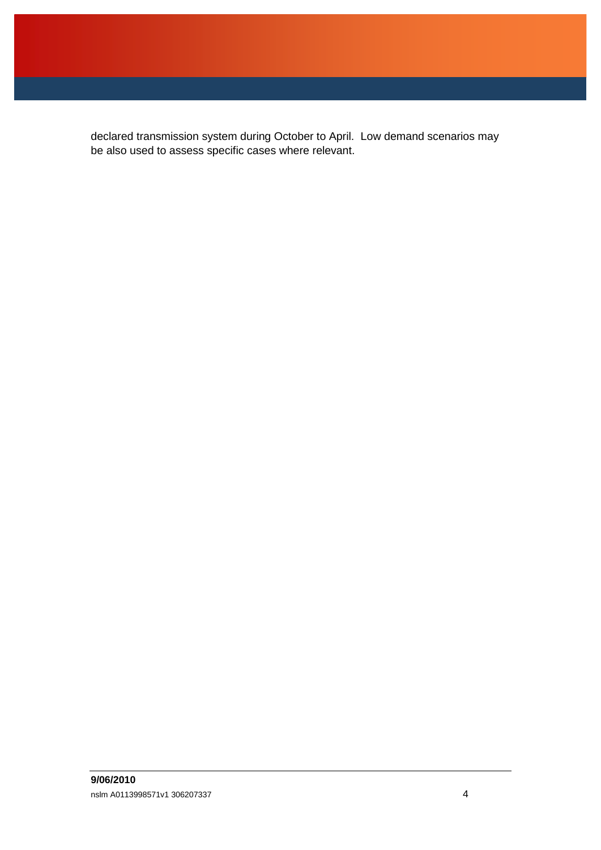declared transmission system during October to April. Low demand scenarios may be also used to assess specific cases where relevant.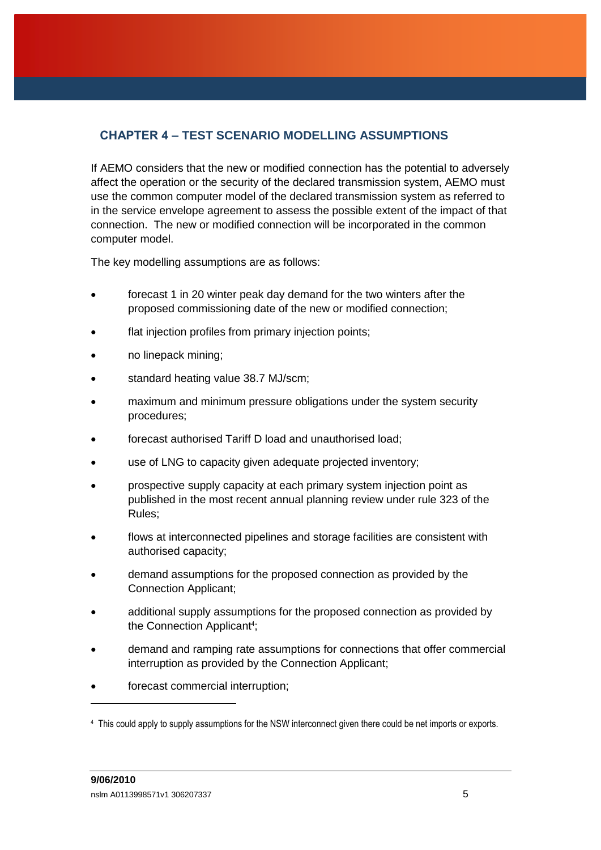# <span id="page-7-0"></span>**CHAPTER 4 – TEST SCENARIO MODELLING ASSUMPTIONS**

If AEMO considers that the new or modified connection has the potential to adversely affect the operation or the security of the declared transmission system, AEMO must use the common computer model of the declared transmission system as referred to in the service envelope agreement to assess the possible extent of the impact of that connection. The new or modified connection will be incorporated in the common computer model.

The key modelling assumptions are as follows:

- forecast 1 in 20 winter peak day demand for the two winters after the proposed commissioning date of the new or modified connection;
- flat injection profiles from primary injection points;
- no linepack mining;
- standard heating value 38.7 MJ/scm;
- maximum and minimum pressure obligations under the system security procedures;
- forecast authorised Tariff D load and unauthorised load;
- use of LNG to capacity given adequate projected inventory;
- prospective supply capacity at each primary system injection point as published in the most recent annual planning review under rule 323 of the Rules;
- flows at interconnected pipelines and storage facilities are consistent with authorised capacity;
- demand assumptions for the proposed connection as provided by the Connection Applicant;
- additional supply assumptions for the proposed connection as provided by the Connection Applicant<sup>4</sup>;
- demand and ramping rate assumptions for connections that offer commercial interruption as provided by the Connection Applicant;
- forecast commercial interruption;

<sup>4</sup> This could apply to supply assumptions for the NSW interconnect given there could be net imports or exports.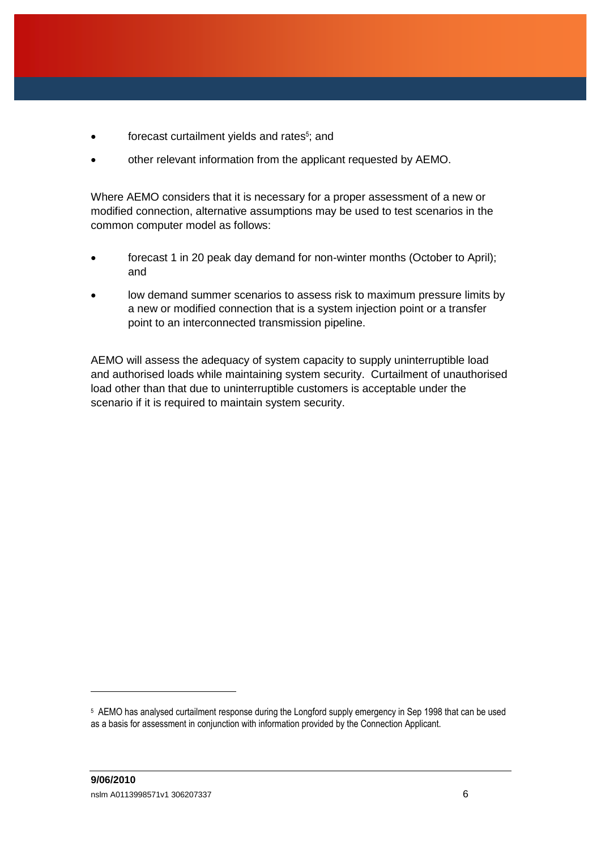- forecast curtailment yields and rates<sup>5</sup>; and
- other relevant information from the applicant requested by AEMO.

Where AEMO considers that it is necessary for a proper assessment of a new or modified connection, alternative assumptions may be used to test scenarios in the common computer model as follows:

- forecast 1 in 20 peak day demand for non-winter months (October to April); and
- low demand summer scenarios to assess risk to maximum pressure limits by a new or modified connection that is a system injection point or a transfer point to an interconnected transmission pipeline.

AEMO will assess the adequacy of system capacity to supply uninterruptible load and authorised loads while maintaining system security. Curtailment of unauthorised load other than that due to uninterruptible customers is acceptable under the scenario if it is required to maintain system security.

<sup>5</sup> AEMO has analysed curtailment response during the Longford supply emergency in Sep 1998 that can be used as a basis for assessment in conjunction with information provided by the Connection Applicant.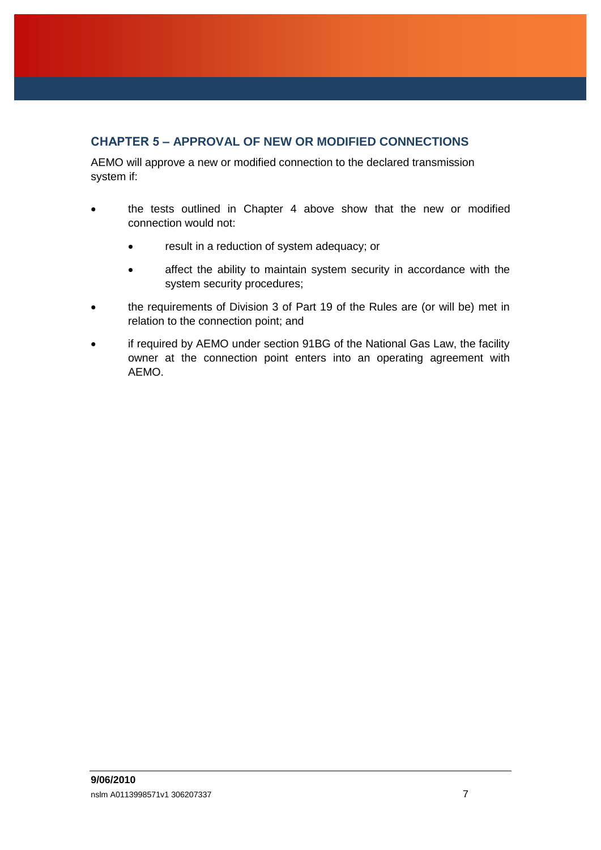## <span id="page-9-0"></span>**CHAPTER 5 – APPROVAL OF NEW OR MODIFIED CONNECTIONS**

AEMO will approve a new or modified connection to the declared transmission system if:

- the tests outlined in Chapter 4 above show that the new or modified connection would not:
	- result in a reduction of system adequacy; or
	- affect the ability to maintain system security in accordance with the system security procedures;
- the requirements of Division 3 of Part 19 of the Rules are (or will be) met in relation to the connection point; and
- if required by AEMO under section 91BG of the National Gas Law, the facility owner at the connection point enters into an operating agreement with AEMO.